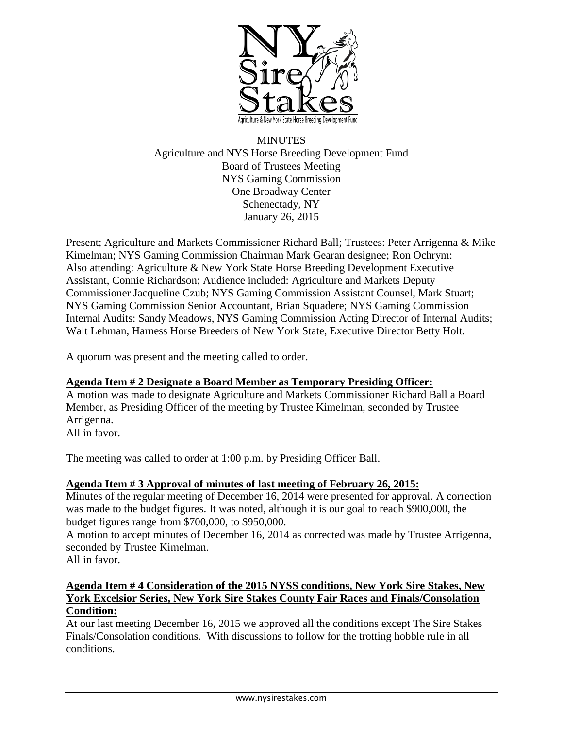

**MINUTES** Agriculture and NYS Horse Breeding Development Fund Board of Trustees Meeting NYS Gaming Commission One Broadway Center Schenectady, NY January 26, 2015

Present; Agriculture and Markets Commissioner Richard Ball; Trustees: Peter Arrigenna & Mike Kimelman; NYS Gaming Commission Chairman Mark Gearan designee; Ron Ochrym: Also attending: Agriculture & New York State Horse Breeding Development Executive Assistant, Connie Richardson; Audience included: Agriculture and Markets Deputy Commissioner Jacqueline Czub; NYS Gaming Commission Assistant Counsel, Mark Stuart; NYS Gaming Commission Senior Accountant, Brian Squadere; NYS Gaming Commission Internal Audits: Sandy Meadows, NYS Gaming Commission Acting Director of Internal Audits; Walt Lehman, Harness Horse Breeders of New York State, Executive Director Betty Holt.

A quorum was present and the meeting called to order.

### **Agenda Item # 2 Designate a Board Member as Temporary Presiding Officer:**

A motion was made to designate Agriculture and Markets Commissioner Richard Ball a Board Member, as Presiding Officer of the meeting by Trustee Kimelman, seconded by Trustee Arrigenna.

All in favor.

The meeting was called to order at 1:00 p.m. by Presiding Officer Ball.

### **Agenda Item # 3 Approval of minutes of last meeting of February 26, 2015:**

Minutes of the regular meeting of December 16, 2014 were presented for approval. A correction was made to the budget figures. It was noted, although it is our goal to reach \$900,000, the budget figures range from \$700,000, to \$950,000.

A motion to accept minutes of December 16, 2014 as corrected was made by Trustee Arrigenna, seconded by Trustee Kimelman.

All in favor.

# **Agenda Item # 4 Consideration of the 2015 NYSS conditions, New York Sire Stakes, New York Excelsior Series, New York Sire Stakes County Fair Races and Finals/Consolation Condition:**

At our last meeting December 16, 2015 we approved all the conditions except The Sire Stakes Finals/Consolation conditions. With discussions to follow for the trotting hobble rule in all conditions.